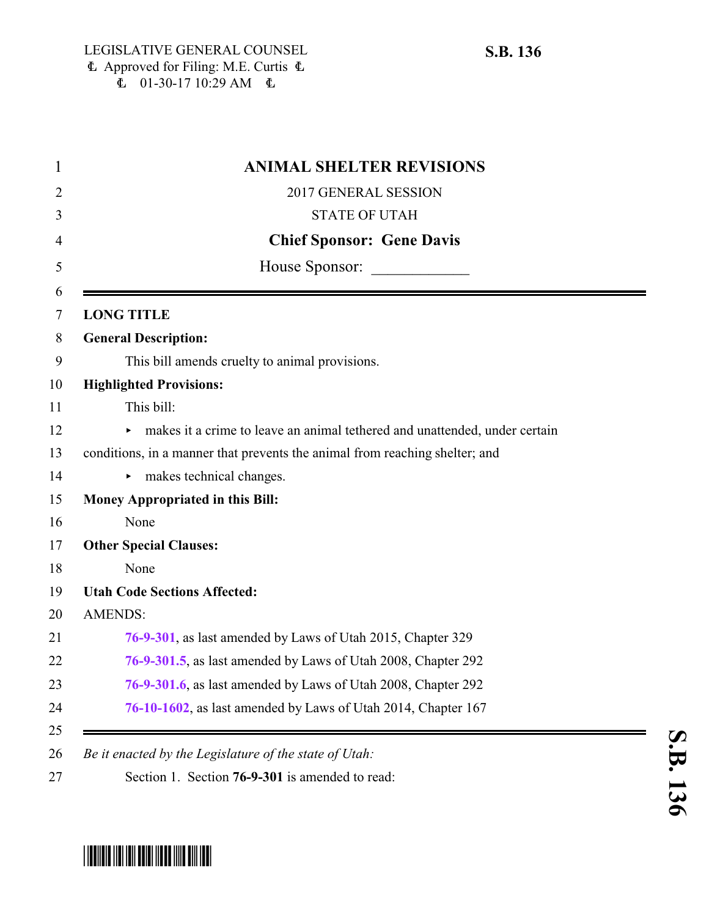| <b>ANIMAL SHELTER REVISIONS</b>                                             |
|-----------------------------------------------------------------------------|
| 2017 GENERAL SESSION                                                        |
| <b>STATE OF UTAH</b>                                                        |
| <b>Chief Sponsor: Gene Davis</b>                                            |
| House Sponsor:                                                              |
| <b>LONG TITLE</b>                                                           |
| <b>General Description:</b>                                                 |
| This bill amends cruelty to animal provisions.                              |
| <b>Highlighted Provisions:</b>                                              |
| This bill:                                                                  |
| makes it a crime to leave an animal tethered and unattended, under certain  |
| conditions, in a manner that prevents the animal from reaching shelter; and |
| makes technical changes.                                                    |
| Money Appropriated in this Bill:                                            |
| None                                                                        |
| <b>Other Special Clauses:</b>                                               |
| None                                                                        |
| <b>Utah Code Sections Affected:</b>                                         |
| <b>AMENDS:</b>                                                              |
| 76-9-301, as last amended by Laws of Utah 2015, Chapter 329                 |
| 76-9-301.5, as last amended by Laws of Utah 2008, Chapter 292               |
| 76-9-301.6, as last amended by Laws of Utah 2008, Chapter 292               |
| 76-10-1602, as last amended by Laws of Utah 2014, Chapter 167               |

# <span id="page-0-0"></span>\*SB0136\*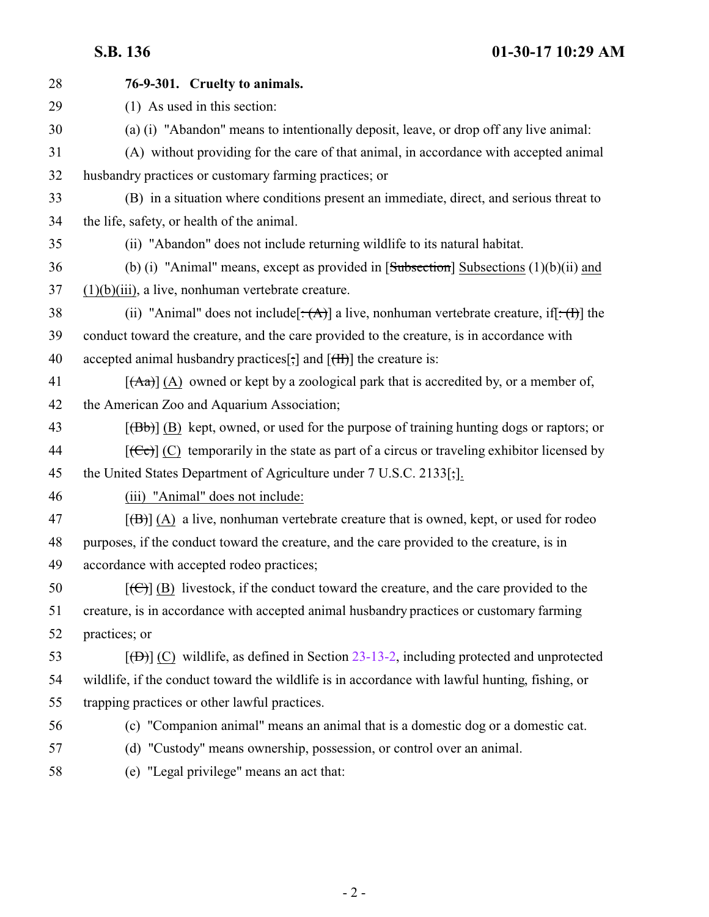| 28 | 76-9-301. Cruelty to animals.                                                                                |
|----|--------------------------------------------------------------------------------------------------------------|
| 29 | (1) As used in this section:                                                                                 |
| 30 | (a) (i) "Abandon" means to intentionally deposit, leave, or drop off any live animal:                        |
| 31 | (A) without providing for the care of that animal, in accordance with accepted animal                        |
| 32 | husbandry practices or customary farming practices; or                                                       |
| 33 | (B) in a situation where conditions present an immediate, direct, and serious threat to                      |
| 34 | the life, safety, or health of the animal.                                                                   |
| 35 | (ii) "Abandon" does not include returning wildlife to its natural habitat.                                   |
| 36 | (b) (i) "Animal" means, except as provided in $[Subsection]$ Subsections $(1)(b)(ii)$ and                    |
| 37 | $(1)(b)(iii)$ , a live, nonhuman vertebrate creature.                                                        |
| 38 | (ii) "Animal" does not include $[\cdot(A)]$ a live, nonhuman vertebrate creature, if $[\cdot(A)]$ the        |
| 39 | conduct toward the creature, and the care provided to the creature, is in accordance with                    |
| 40 | accepted animal husbandry practices[;] and $[\text{fH}]$ the creature is:                                    |
| 41 | $[({\rm Aa})]$ (A) owned or kept by a zoological park that is accredited by, or a member of,                 |
| 42 | the American Zoo and Aquarium Association;                                                                   |
| 43 | $[\langle B\bar{b}\rangle]$ (B) kept, owned, or used for the purpose of training hunting dogs or raptors; or |
| 44 |                                                                                                              |
| 45 | the United States Department of Agriculture under 7 U.S.C. 2133[;].                                          |
| 46 | (iii) "Animal" does not include:                                                                             |
| 47 | $[\bigoplus] (A)$ a live, nonhuman vertebrate creature that is owned, kept, or used for rodeo                |
| 48 | purposes, if the conduct toward the creature, and the care provided to the creature, is in                   |
| 49 | accordance with accepted rodeo practices;                                                                    |
| 50 | $[\text{(\Theta)}]$ (B) livestock, if the conduct toward the creature, and the care provided to the          |
| 51 | creature, is in accordance with accepted animal husbandry practices or customary farming                     |
| 52 | practices; or                                                                                                |
| 53 | $[\Theta]$ (C) wildlife, as defined in Section 23-13-2, including protected and unprotected                  |
| 54 | wildlife, if the conduct toward the wildlife is in accordance with lawful hunting, fishing, or               |
| 55 | trapping practices or other lawful practices.                                                                |
| 56 | (c) "Companion animal" means an animal that is a domestic dog or a domestic cat.                             |
| 57 | (d) "Custody" means ownership, possession, or control over an animal.                                        |
| 58 | (e) "Legal privilege" means an act that:                                                                     |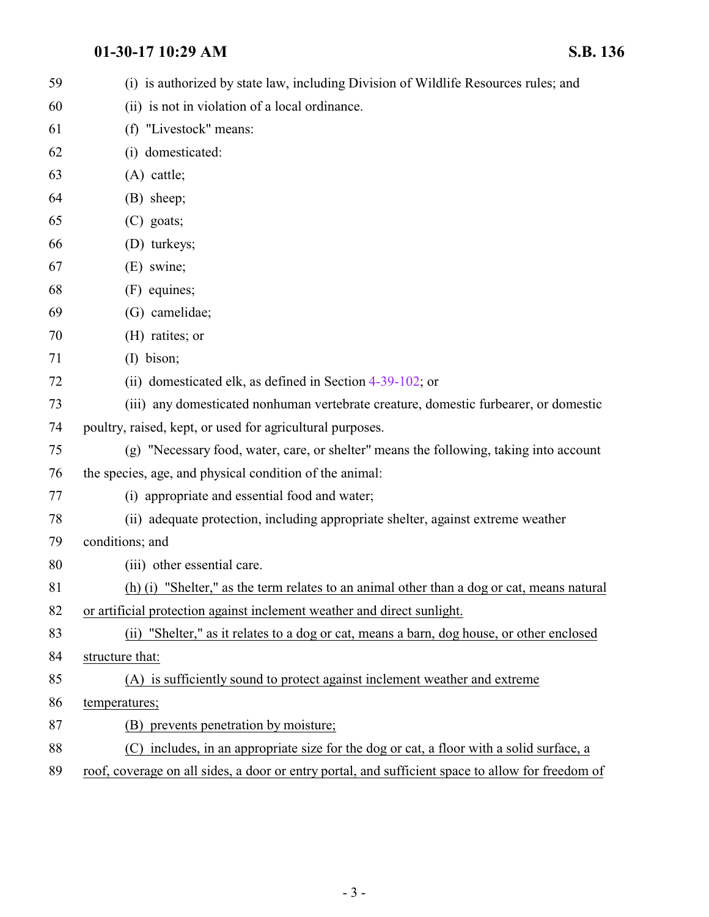| 59 | (i) is authorized by state law, including Division of Wildlife Resources rules; and               |
|----|---------------------------------------------------------------------------------------------------|
| 60 | (ii) is not in violation of a local ordinance.                                                    |
| 61 | (f) "Livestock" means:                                                                            |
| 62 | (i) domesticated:                                                                                 |
| 63 | $(A)$ cattle;                                                                                     |
| 64 | (B) sheep;                                                                                        |
| 65 | $(C)$ goats;                                                                                      |
| 66 | (D) turkeys;                                                                                      |
| 67 | (E) swine;                                                                                        |
| 68 | (F) equines;                                                                                      |
| 69 | (G) camelidae;                                                                                    |
| 70 | (H) ratites; or                                                                                   |
| 71 | $(I)$ bison;                                                                                      |
| 72 | (ii) domesticated elk, as defined in Section 4-39-102; or                                         |
| 73 | (iii) any domesticated nonhuman vertebrate creature, domestic furbearer, or domestic              |
| 74 | poultry, raised, kept, or used for agricultural purposes.                                         |
| 75 | (g) "Necessary food, water, care, or shelter" means the following, taking into account            |
| 76 | the species, age, and physical condition of the animal:                                           |
| 77 | (i) appropriate and essential food and water;                                                     |
| 78 | (ii) adequate protection, including appropriate shelter, against extreme weather                  |
| 79 | conditions; and                                                                                   |
| 80 | (iii) other essential care.                                                                       |
| 81 | (h) (i) "Shelter," as the term relates to an animal other than a dog or cat, means natural        |
| 82 | or artificial protection against inclement weather and direct sunlight.                           |
| 83 | (ii) "Shelter," as it relates to a dog or cat, means a barn, dog house, or other enclosed         |
| 84 | structure that:                                                                                   |
| 85 | (A) is sufficiently sound to protect against inclement weather and extreme                        |
| 86 | temperatures;                                                                                     |
| 87 | (B) prevents penetration by moisture;                                                             |
| 88 | (C) includes, in an appropriate size for the dog or cat, a floor with a solid surface, a          |
| 89 | roof, coverage on all sides, a door or entry portal, and sufficient space to allow for freedom of |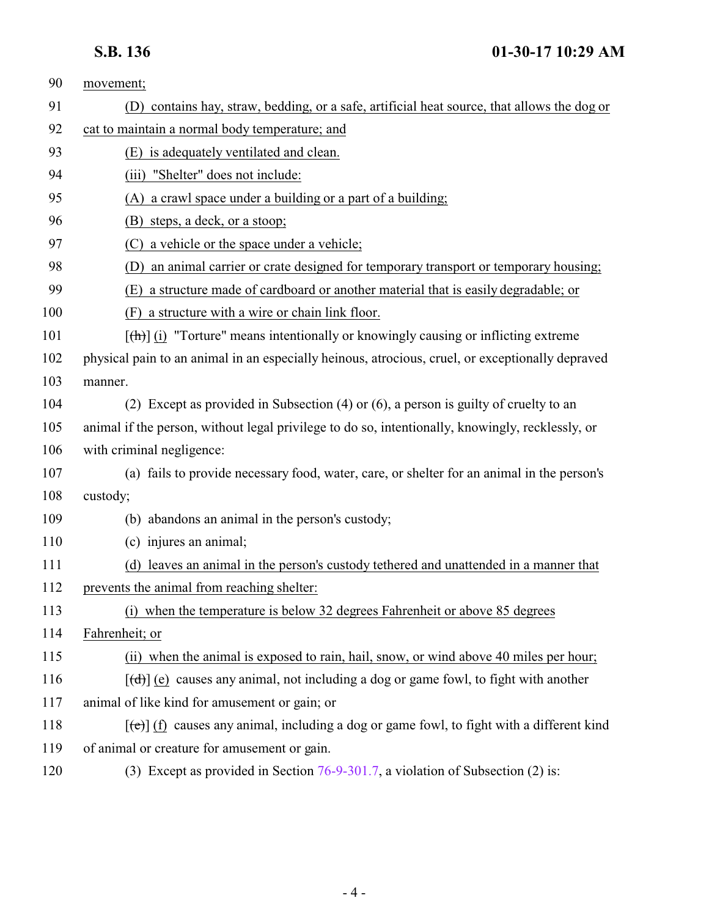| 90  | movement;                                                                                          |
|-----|----------------------------------------------------------------------------------------------------|
| 91  | (D) contains hay, straw, bedding, or a safe, artificial heat source, that allows the dog or        |
| 92  | cat to maintain a normal body temperature; and                                                     |
| 93  | (E) is adequately ventilated and clean.                                                            |
| 94  | (iii) "Shelter" does not include:                                                                  |
| 95  | (A) a crawl space under a building or a part of a building;                                        |
| 96  | (B) steps, a deck, or a stoop;                                                                     |
| 97  | (C) a vehicle or the space under a vehicle;                                                        |
| 98  | an animal carrier or crate designed for temporary transport or temporary housing;<br>(D)           |
| 99  | a structure made of cardboard or another material that is easily degradable; or<br>(E)             |
| 100 | (F) a structure with a wire or chain link floor.                                                   |
| 101 | $[\frac{h}{\ln}]$ (i) "Torture" means intentionally or knowingly causing or inflicting extreme     |
| 102 | physical pain to an animal in an especially heinous, atrocious, cruel, or exceptionally depraved   |
| 103 | manner.                                                                                            |
| 104 | (2) Except as provided in Subsection (4) or (6), a person is guilty of cruelty to an               |
| 105 | animal if the person, without legal privilege to do so, intentionally, knowingly, recklessly, or   |
| 106 | with criminal negligence:                                                                          |
| 107 | (a) fails to provide necessary food, water, care, or shelter for an animal in the person's         |
| 108 | custody;                                                                                           |
| 109 | (b) abandons an animal in the person's custody;                                                    |
| 110 | (c) injures an animal;                                                                             |
| 111 | (d) leaves an animal in the person's custody tethered and unattended in a manner that              |
| 112 | prevents the animal from reaching shelter:                                                         |
| 113 | (i) when the temperature is below 32 degrees Fahrenheit or above 85 degrees                        |
| 114 | Fahrenheit; or                                                                                     |
| 115 | (ii) when the animal is exposed to rain, hail, snow, or wind above 40 miles per hour;              |
| 116 | $[\text{+}\text{)}$ (e) causes any animal, not including a dog or game fowl, to fight with another |
| 117 | animal of like kind for amusement or gain; or                                                      |
| 118 | $[\text{te}]$ (f) causes any animal, including a dog or game fowl, to fight with a different kind  |
| 119 | of animal or creature for amusement or gain.                                                       |
| 120 | (3) Except as provided in Section 76-9-301.7, a violation of Subsection (2) is:                    |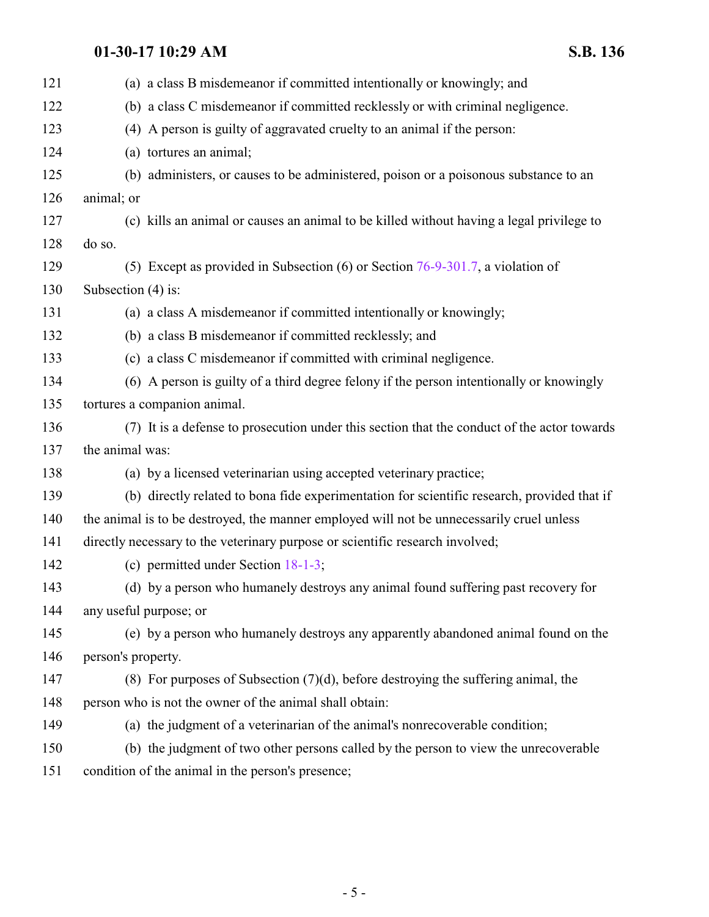| (a) a class B misdemeanor if committed intentionally or knowingly; and                      |
|---------------------------------------------------------------------------------------------|
| (b) a class C misdemeanor if committed recklessly or with criminal negligence.              |
| (4) A person is guilty of aggravated cruelty to an animal if the person:                    |
| (a) tortures an animal;                                                                     |
| (b) administers, or causes to be administered, poison or a poisonous substance to an        |
| animal; or                                                                                  |
| (c) kills an animal or causes an animal to be killed without having a legal privilege to    |
| do so.                                                                                      |
| (5) Except as provided in Subsection (6) or Section $76-9-301.7$ , a violation of           |
| Subsection (4) is:                                                                          |
| (a) a class A misdemeanor if committed intentionally or knowingly;                          |
| (b) a class B misdemeanor if committed recklessly; and                                      |
| (c) a class C misdemeanor if committed with criminal negligence.                            |
| (6) A person is guilty of a third degree felony if the person intentionally or knowingly    |
| tortures a companion animal.                                                                |
| (7) It is a defense to prosecution under this section that the conduct of the actor towards |
| the animal was:                                                                             |
| (a) by a licensed veterinarian using accepted veterinary practice;                          |
| (b) directly related to bona fide experimentation for scientific research, provided that if |
| the animal is to be destroyed, the manner employed will not be unnecessarily cruel unless   |
| directly necessary to the veterinary purpose or scientific research involved;               |
| (c) permitted under Section $18-1-3$ ;                                                      |
| (d) by a person who humanely destroys any animal found suffering past recovery for          |
| any useful purpose; or                                                                      |
| (e) by a person who humanely destroys any apparently abandoned animal found on the          |
| person's property.                                                                          |
| $(8)$ For purposes of Subsection $(7)(d)$ , before destroying the suffering animal, the     |
| person who is not the owner of the animal shall obtain:                                     |
| (a) the judgment of a veterinarian of the animal's nonrecoverable condition;                |
| (b) the judgment of two other persons called by the person to view the unrecoverable        |
| condition of the animal in the person's presence;                                           |
|                                                                                             |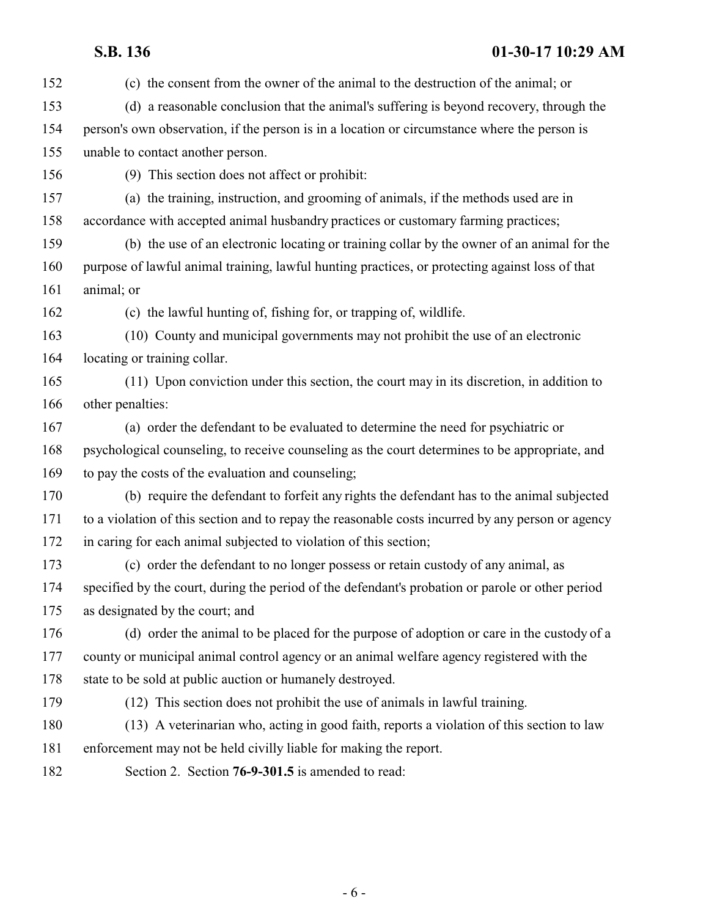<span id="page-5-0"></span> (c) the consent from the owner of the animal to the destruction of the animal; or (d) a reasonable conclusion that the animal's suffering is beyond recovery, through the person's own observation, if the person is in a location or circumstance where the person is unable to contact another person. (9) This section does not affect or prohibit: (a) the training, instruction, and grooming of animals, if the methods used are in accordance with accepted animal husbandry practices or customary farming practices; (b) the use of an electronic locating or training collar by the owner of an animal for the purpose of lawful animal training, lawful hunting practices, or protecting against loss of that animal; or (c) the lawful hunting of, fishing for, or trapping of, wildlife. (10) County and municipal governments may not prohibit the use of an electronic locating or training collar. (11) Upon conviction under this section, the court may in its discretion, in addition to other penalties: (a) order the defendant to be evaluated to determine the need for psychiatric or psychological counseling, to receive counseling as the court determines to be appropriate, and to pay the costs of the evaluation and counseling; (b) require the defendant to forfeit any rights the defendant has to the animal subjected to a violation of this section and to repay the reasonable costs incurred by any person or agency in caring for each animal subjected to violation of this section; (c) order the defendant to no longer possess or retain custody of any animal, as specified by the court, during the period of the defendant's probation or parole or other period as designated by the court; and (d) order the animal to be placed for the purpose of adoption or care in the custody of a county or municipal animal control agency or an animal welfare agency registered with the 178 state to be sold at public auction or humanely destroyed. (12) This section does not prohibit the use of animals in lawful training. (13) A veterinarian who, acting in good faith, reports a violation of this section to law enforcement may not be held civilly liable for making the report. Section 2. Section **76-9-301.5** is amended to read: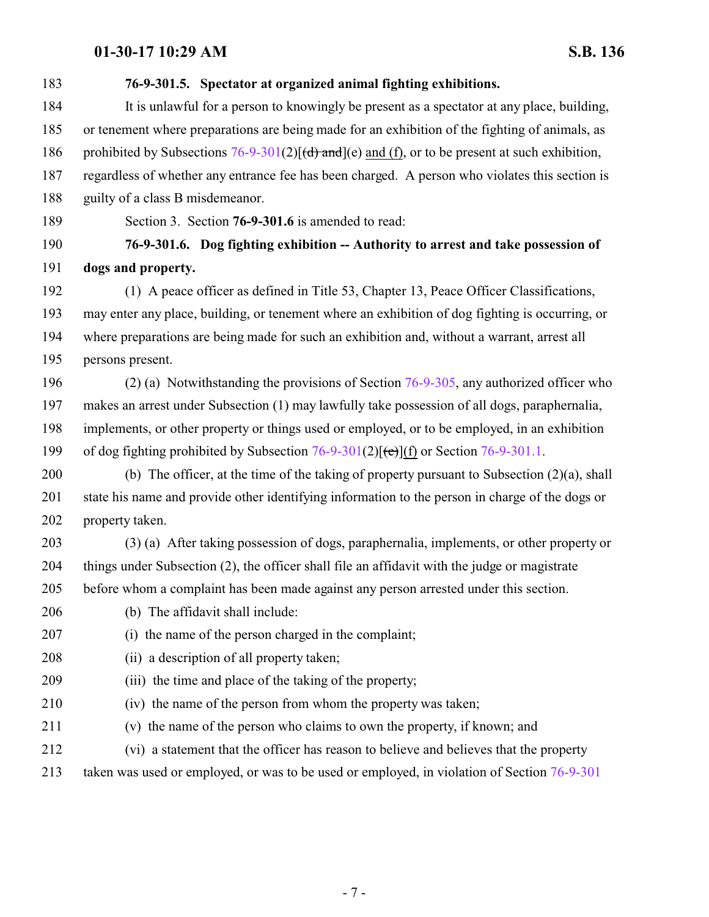<span id="page-6-0"></span>

| 183 | 76-9-301.5. Spectator at organized animal fighting exhibitions.                                            |
|-----|------------------------------------------------------------------------------------------------------------|
| 184 | It is unlawful for a person to knowingly be present as a spectator at any place, building,                 |
| 185 | or tenement where preparations are being made for an exhibition of the fighting of animals, as             |
| 186 | prohibited by Subsections $76-9-301(2)$ $[(d)$ and $](e)$ and $(f)$ , or to be present at such exhibition, |
| 187 | regardless of whether any entrance fee has been charged. A person who violates this section is             |
| 188 | guilty of a class B misdemeanor.                                                                           |
| 189 | Section 3. Section 76-9-301.6 is amended to read:                                                          |
| 190 | 76-9-301.6. Dog fighting exhibition -- Authority to arrest and take possession of                          |
| 191 | dogs and property.                                                                                         |
| 192 | (1) A peace officer as defined in Title 53, Chapter 13, Peace Officer Classifications,                     |
| 193 | may enter any place, building, or tenement where an exhibition of dog fighting is occurring, or            |
| 194 | where preparations are being made for such an exhibition and, without a warrant, arrest all                |
| 195 | persons present.                                                                                           |
| 196 | $(2)$ (a) Notwithstanding the provisions of Section 76-9-305, any authorized officer who                   |
| 197 | makes an arrest under Subsection (1) may lawfully take possession of all dogs, paraphernalia,              |
| 198 | implements, or other property or things used or employed, or to be employed, in an exhibition              |
| 199 | of dog fighting prohibited by Subsection $76-9-301(2)[(e)](f)$ or Section $76-9-301.1$ .                   |
| 200 | (b) The officer, at the time of the taking of property pursuant to Subsection $(2)(a)$ , shall             |
| 201 | state his name and provide other identifying information to the person in charge of the dogs or            |
| 202 | property taken.                                                                                            |
| 203 | (3) (a) After taking possession of dogs, paraphernalia, implements, or other property or                   |
| 204 | things under Subsection (2), the officer shall file an affidavit with the judge or magistrate              |
| 205 | before whom a complaint has been made against any person arrested under this section.                      |
| 206 | (b) The affidavit shall include:                                                                           |
| 207 | (i) the name of the person charged in the complaint;                                                       |
| 208 | (ii) a description of all property taken;                                                                  |
| 209 | (iii) the time and place of the taking of the property;                                                    |
| 210 | (iv) the name of the person from whom the property was taken;                                              |
| 211 | (v) the name of the person who claims to own the property, if known; and                                   |
| 212 | (vi) a statement that the officer has reason to believe and believes that the property                     |
| 213 | taken was used or employed, or was to be used or employed, in violation of Section 76-9-301                |
|     |                                                                                                            |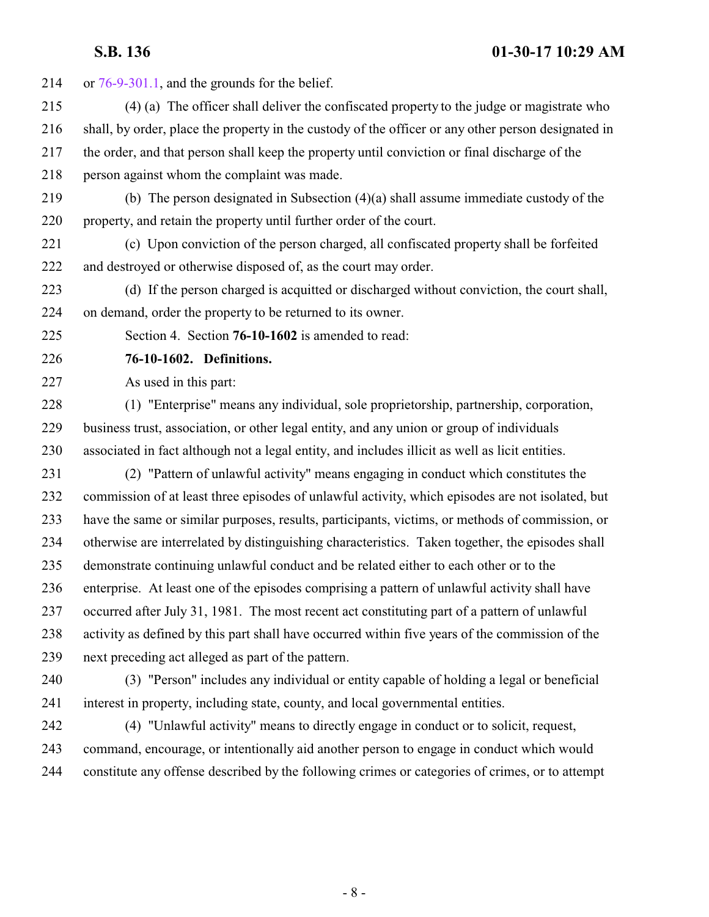<span id="page-7-0"></span> or [76-9-301.1](http://le.utah.gov/UtahCode/SectionLookup.jsp?section=76-9-301.1&session=2017GS), and the grounds for the belief. (4) (a) The officer shall deliver the confiscated property to the judge or magistrate who shall, by order, place the property in the custody of the officer or any other person designated in the order, and that person shall keep the property until conviction or final discharge of the person against whom the complaint was made. (b) The person designated in Subsection (4)(a) shall assume immediate custody of the property, and retain the property until further order of the court. (c) Upon conviction of the person charged, all confiscated property shall be forfeited and destroyed or otherwise disposed of, as the court may order. (d) If the person charged is acquitted or discharged without conviction, the court shall, on demand, order the property to be returned to its owner. Section 4. Section **76-10-1602** is amended to read: **76-10-1602. Definitions.** As used in this part: (1) "Enterprise" means any individual, sole proprietorship, partnership, corporation, business trust, association, or other legal entity, and any union or group of individuals associated in fact although not a legal entity, and includes illicit as well as licit entities. (2) "Pattern of unlawful activity" means engaging in conduct which constitutes the commission of at least three episodes of unlawful activity, which episodes are not isolated, but have the same or similar purposes, results, participants, victims, or methods of commission, or otherwise are interrelated by distinguishing characteristics. Taken together, the episodes shall demonstrate continuing unlawful conduct and be related either to each other or to the enterprise. At least one of the episodes comprising a pattern of unlawful activity shall have occurred after July 31, 1981. The most recent act constituting part of a pattern of unlawful activity as defined by this part shall have occurred within five years of the commission of the next preceding act alleged as part of the pattern. (3) "Person" includes any individual or entity capable of holding a legal or beneficial

interest in property, including state, county, and local governmental entities.

 (4) "Unlawful activity" means to directly engage in conduct or to solicit, request, command, encourage, or intentionally aid another person to engage in conduct which would constitute any offense described by the following crimes or categories of crimes, or to attempt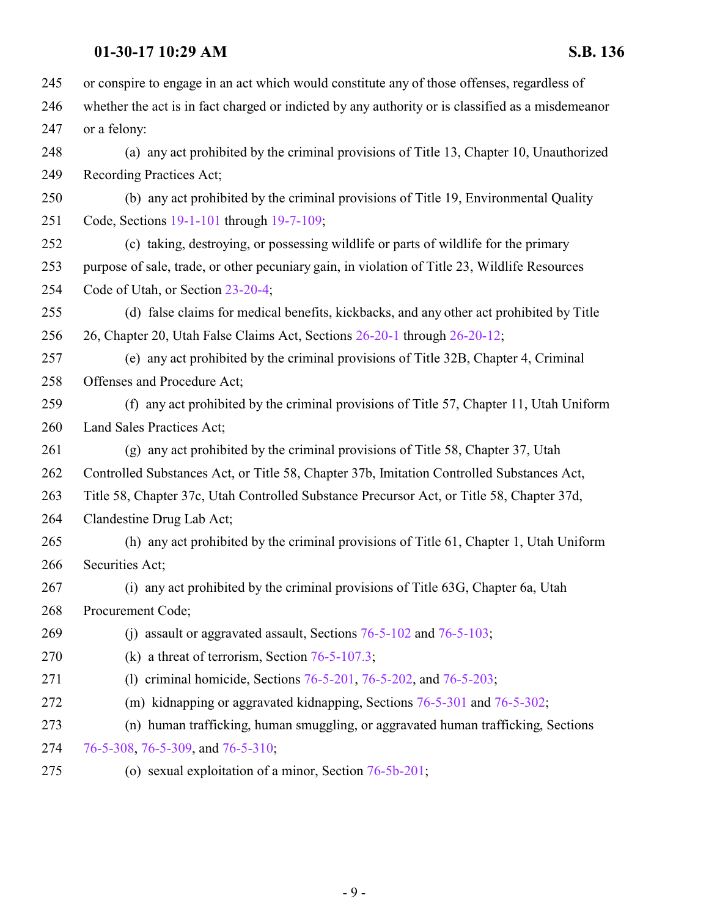| 245 | or conspire to engage in an act which would constitute any of those offenses, regardless of        |
|-----|----------------------------------------------------------------------------------------------------|
| 246 | whether the act is in fact charged or indicted by any authority or is classified as a misdemean or |
| 247 | or a felony:                                                                                       |
| 248 | (a) any act prohibited by the criminal provisions of Title 13, Chapter 10, Unauthorized            |
| 249 | Recording Practices Act;                                                                           |
| 250 | (b) any act prohibited by the criminal provisions of Title 19, Environmental Quality               |
| 251 | Code, Sections 19-1-101 through 19-7-109;                                                          |
| 252 | (c) taking, destroying, or possessing wildlife or parts of wildlife for the primary                |
| 253 | purpose of sale, trade, or other pecuniary gain, in violation of Title 23, Wildlife Resources      |
| 254 | Code of Utah, or Section 23-20-4;                                                                  |
| 255 | (d) false claims for medical benefits, kickbacks, and any other act prohibited by Title            |
| 256 | 26, Chapter 20, Utah False Claims Act, Sections 26-20-1 through 26-20-12;                          |
| 257 | (e) any act prohibited by the criminal provisions of Title 32B, Chapter 4, Criminal                |
| 258 | Offenses and Procedure Act;                                                                        |
| 259 | (f) any act prohibited by the criminal provisions of Title 57, Chapter 11, Utah Uniform            |
| 260 | Land Sales Practices Act;                                                                          |
| 261 | (g) any act prohibited by the criminal provisions of Title 58, Chapter 37, Utah                    |
| 262 | Controlled Substances Act, or Title 58, Chapter 37b, Imitation Controlled Substances Act,          |
| 263 | Title 58, Chapter 37c, Utah Controlled Substance Precursor Act, or Title 58, Chapter 37d,          |
| 264 | Clandestine Drug Lab Act;                                                                          |
| 265 | (h) any act prohibited by the criminal provisions of Title 61, Chapter 1, Utah Uniform             |
| 266 | Securities Act;                                                                                    |
| 267 | (i) any act prohibited by the criminal provisions of Title 63G, Chapter 6a, Utah                   |
| 268 | Procurement Code;                                                                                  |
| 269 | (i) assault or aggravated assault, Sections $76-5-102$ and $76-5-103$ ;                            |
| 270 | (k) a threat of terrorism, Section $76-5-107.3$ ;                                                  |
| 271 | (1) criminal homicide, Sections $76-5-201$ , $76-5-202$ , and $76-5-203$ ;                         |
| 272 | (m) kidnapping or aggravated kidnapping, Sections 76-5-301 and 76-5-302;                           |
| 273 | (n) human trafficking, human smuggling, or aggravated human trafficking, Sections                  |
| 274 | 76-5-308, 76-5-309, and 76-5-310;                                                                  |
| 275 | (o) sexual exploitation of a minor, Section 76-5b-201;                                             |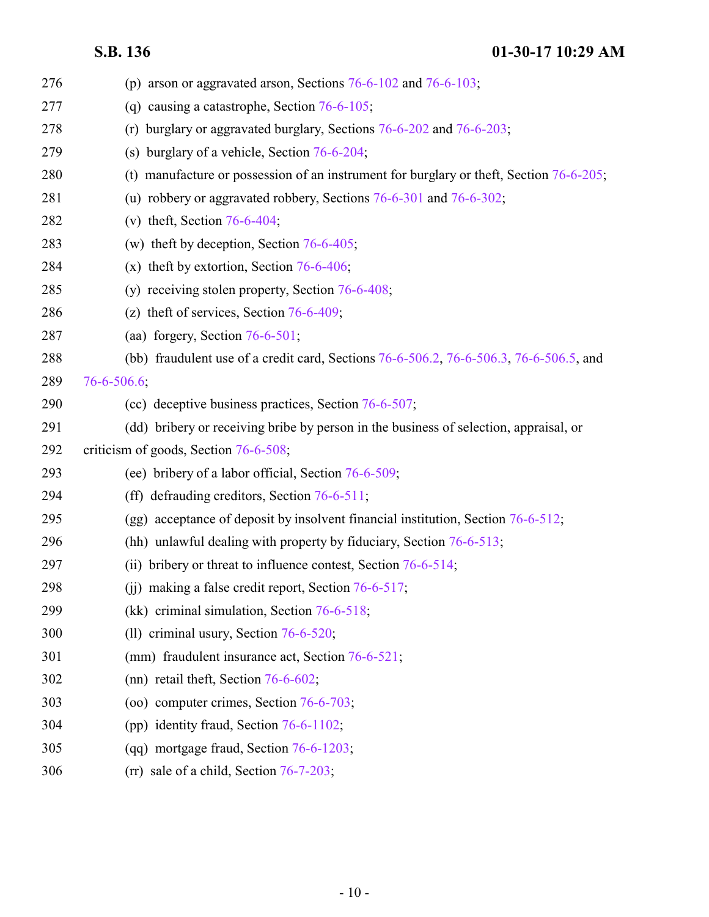| 276 | (p) arson or aggravated arson, Sections $76-6-102$ and $76-6-103$ ;                        |
|-----|--------------------------------------------------------------------------------------------|
| 277 | (q) causing a catastrophe, Section $76-6-105$ ;                                            |
| 278 | (r) burglary or aggravated burglary, Sections $76-6-202$ and $76-6-203$ ;                  |
| 279 | (s) burglary of a vehicle, Section $76-6-204$ ;                                            |
| 280 | (t) manufacture or possession of an instrument for burglary or theft, Section $76-6-205$ ; |
| 281 | (u) robbery or aggravated robbery, Sections 76-6-301 and 76-6-302;                         |
| 282 | (v) theft, Section $76-6-404$ ;                                                            |
| 283 | (w) theft by deception, Section $76-6-405$ ;                                               |
| 284 | (x) theft by extortion, Section $76-6-406$ ;                                               |
| 285 | (y) receiving stolen property, Section 76-6-408;                                           |
| 286 | (z) theft of services, Section $76-6-409$ ;                                                |
| 287 | (aa) forgery, Section $76-6-501$ ;                                                         |
| 288 | (bb) fraudulent use of a credit card, Sections 76-6-506.2, 76-6-506.3, 76-6-506.5, and     |
| 289 | $76 - 6 - 506.6$ ;                                                                         |
| 290 | (cc) deceptive business practices, Section 76-6-507;                                       |
| 291 | (dd) bribery or receiving bribe by person in the business of selection, appraisal, or      |
| 292 | criticism of goods, Section 76-6-508;                                                      |
| 293 | (ee) bribery of a labor official, Section 76-6-509;                                        |
| 294 | (ff) defrauding creditors, Section 76-6-511;                                               |
| 295 | (gg) acceptance of deposit by insolvent financial institution, Section 76-6-512;           |
| 296 | (hh) unlawful dealing with property by fiduciary, Section 76-6-513;                        |
| 297 | bribery or threat to influence contest, Section 76-6-514;<br>(ii)                          |
| 298 | (ii) making a false credit report, Section $76-6-517$ ;                                    |
| 299 | (kk) criminal simulation, Section $76-6-518$ ;                                             |
| 300 | (ll) criminal usury, Section $76-6-520$ ;                                                  |
| 301 | (mm) fraudulent insurance act, Section 76-6-521;                                           |
| 302 | (nn) retail theft, Section $76-6-602$ ;                                                    |
| 303 | (oo) computer crimes, Section 76-6-703;                                                    |
| 304 | (pp) identity fraud, Section $76-6-1102$ ;                                                 |
| 305 | (qq) mortgage fraud, Section $76-6-1203$ ;                                                 |
| 306 | $(rr)$ sale of a child, Section 76-7-203;                                                  |
|     |                                                                                            |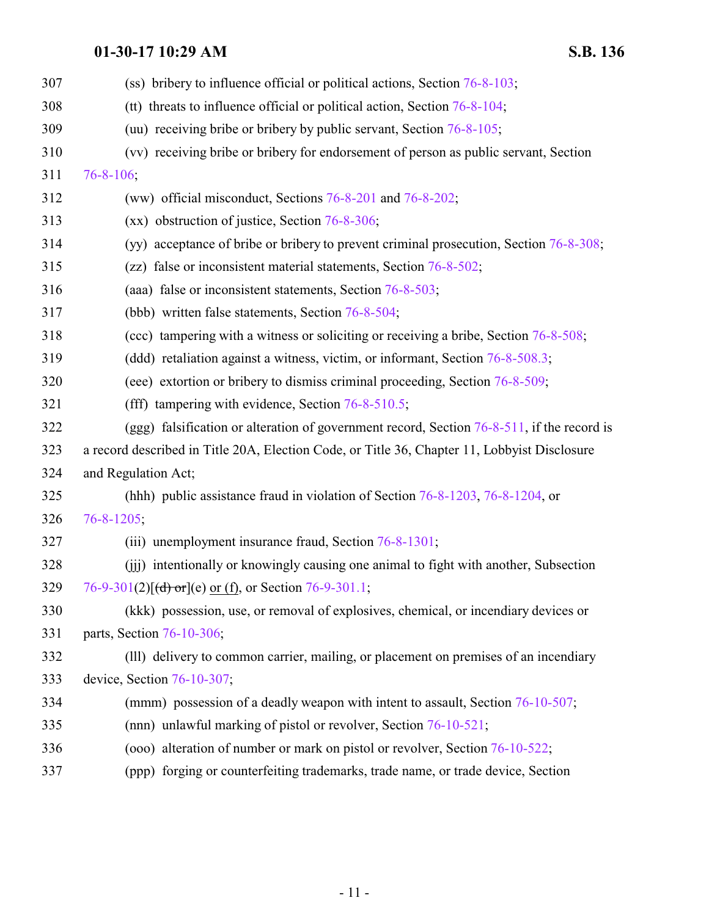| 307 | (ss) bribery to influence official or political actions, Section $76-8-103$ ;                 |
|-----|-----------------------------------------------------------------------------------------------|
| 308 | (tt) threats to influence official or political action, Section $76-8-104$ ;                  |
| 309 | (uu) receiving bribe or bribery by public servant, Section 76-8-105;                          |
| 310 | (vv) receiving bribe or bribery for endorsement of person as public servant, Section          |
| 311 | $76 - 8 - 106$ ;                                                                              |
| 312 | (ww) official misconduct, Sections $76-8-201$ and $76-8-202$ ;                                |
| 313 | $(xx)$ obstruction of justice, Section 76-8-306;                                              |
| 314 | (yy) acceptance of bribe or bribery to prevent criminal prosecution, Section 76-8-308;        |
| 315 | (zz) false or inconsistent material statements, Section 76-8-502;                             |
| 316 | (aaa) false or inconsistent statements, Section 76-8-503;                                     |
| 317 | (bbb) written false statements, Section 76-8-504;                                             |
| 318 | (ccc) tampering with a witness or soliciting or receiving a bribe, Section 76-8-508;          |
| 319 | (ddd) retaliation against a witness, victim, or informant, Section 76-8-508.3;                |
| 320 | (eee) extortion or bribery to dismiss criminal proceeding, Section 76-8-509;                  |
| 321 | (fff) tampering with evidence, Section $76-8-510.5$ ;                                         |
| 322 | (ggg) falsification or alteration of government record, Section $76-8-511$ , if the record is |
| 323 | a record described in Title 20A, Election Code, or Title 36, Chapter 11, Lobbyist Disclosure  |
| 324 | and Regulation Act;                                                                           |
| 325 | (hhh) public assistance fraud in violation of Section 76-8-1203, 76-8-1204, or                |
| 326 | $76 - 8 - 1205$ ;                                                                             |
| 327 | (iii) unemployment insurance fraud, Section 76-8-1301;                                        |
| 328 | (iii) intentionally or knowingly causing one animal to fight with another, Subsection         |
| 329 | 76-9-301(2)[(d) or ](e) or (f), or Section 76-9-301.1;                                        |
| 330 | (kkk) possession, use, or removal of explosives, chemical, or incendiary devices or           |
| 331 | parts, Section 76-10-306;                                                                     |
| 332 | (III) delivery to common carrier, mailing, or placement on premises of an incendiary          |
| 333 | device, Section 76-10-307;                                                                    |
| 334 | (mmm) possession of a deadly weapon with intent to assault, Section 76-10-507;                |
| 335 | (nnn) unlawful marking of pistol or revolver, Section 76-10-521;                              |
| 336 | (000) alteration of number or mark on pistol or revolver, Section 76-10-522;                  |
| 337 | (ppp) forging or counterfeiting trademarks, trade name, or trade device, Section              |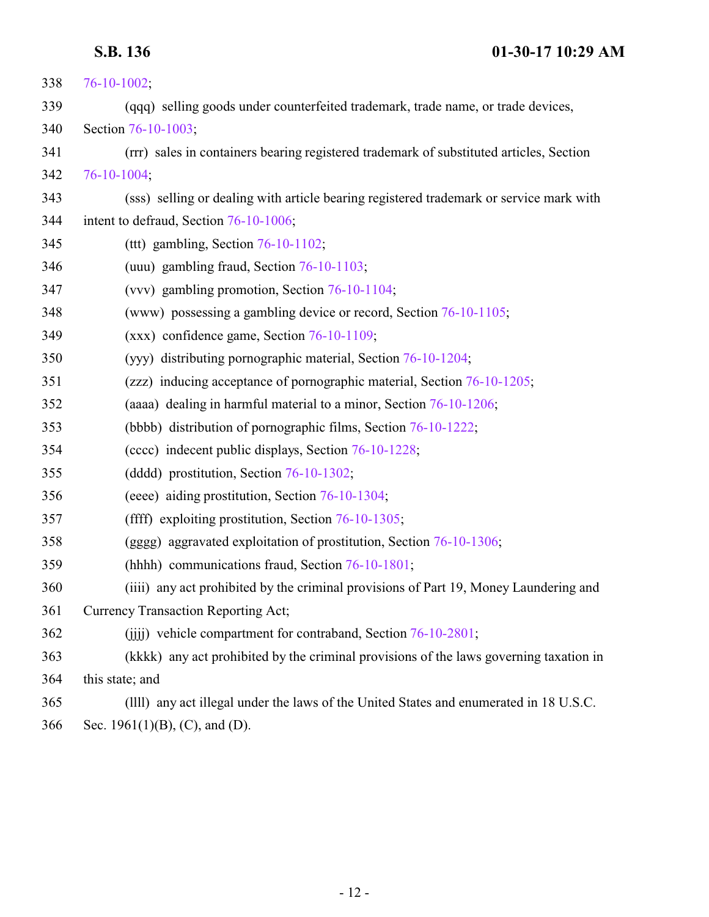| 338 | $76 - 10 - 1002$ ;                                                                      |
|-----|-----------------------------------------------------------------------------------------|
| 339 | (qqq) selling goods under counterfeited trademark, trade name, or trade devices,        |
| 340 | Section 76-10-1003;                                                                     |
| 341 | (rrr) sales in containers bearing registered trademark of substituted articles, Section |
| 342 | 76-10-1004;                                                                             |
| 343 | (sss) selling or dealing with article bearing registered trademark or service mark with |
| 344 | intent to defraud, Section 76-10-1006;                                                  |
| 345 | (ttt) gambling, Section $76-10-1102$ ;                                                  |
| 346 | (uuu) gambling fraud, Section 76-10-1103;                                               |
| 347 | (vvv) gambling promotion, Section 76-10-1104;                                           |
| 348 | (www) possessing a gambling device or record, Section 76-10-1105;                       |
| 349 | $(xxx)$ confidence game, Section 76-10-1109;                                            |
| 350 | (yyy) distributing pornographic material, Section 76-10-1204;                           |
| 351 | (zzz) inducing acceptance of pornographic material, Section 76-10-1205;                 |
| 352 | (aaaa) dealing in harmful material to a minor, Section 76-10-1206;                      |
| 353 | (bbbb) distribution of pornographic films, Section 76-10-1222;                          |
| 354 | (cccc) indecent public displays, Section 76-10-1228;                                    |
| 355 | (dddd) prostitution, Section 76-10-1302;                                                |
| 356 | (eeee) aiding prostitution, Section 76-10-1304;                                         |
| 357 | (ffff) exploiting prostitution, Section $76-10-1305$ ;                                  |
| 358 | (gggg) aggravated exploitation of prostitution, Section 76-10-1306;                     |
| 359 | (hhhh) communications fraud, Section 76-10-1801;                                        |
| 360 | (iiii) any act prohibited by the criminal provisions of Part 19, Money Laundering and   |
| 361 | <b>Currency Transaction Reporting Act;</b>                                              |
| 362 | (iiii) vehicle compartment for contraband, Section 76-10-2801;                          |
| 363 | (kkkk) any act prohibited by the criminal provisions of the laws governing taxation in  |
| 364 | this state; and                                                                         |
| 365 | (IIII) any act illegal under the laws of the United States and enumerated in 18 U.S.C.  |
| 366 | Sec. 1961(1)(B), (C), and (D).                                                          |